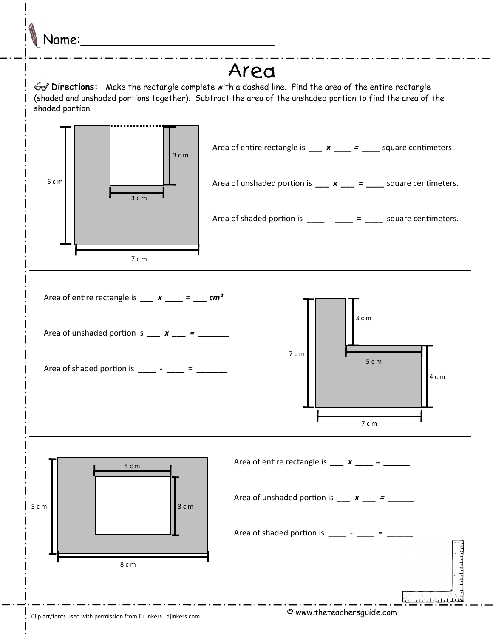

## Area

 **Directions:** Make the rectangle complete with a dashed line. Find the area of the entire rectangle (shaded and unshaded portions together). Subtract the area of the unshaded portion to find the area of the shaded portion.